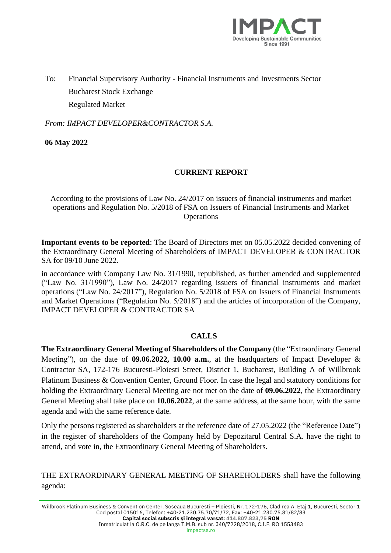

To: Financial Supervisory Authority - Financial Instruments and Investments Sector Bucharest Stock Exchange Regulated Market

*From: IMPACT DEVELOPER&CONTRACTOR S.A.*

**06 May 2022**

## **CURRENT REPORT**

According to the provisions of Law No. 24/2017 on issuers of financial instruments and market operations and Regulation No. 5/2018 of FSA on Issuers of Financial Instruments and Market **Operations** 

**Important events to be reported**: The Board of Directors met on 05.05.2022 decided convening of the Extraordinary General Meeting of Shareholders of IMPACT DEVELOPER & CONTRACTOR SA for 09/10 June 2022.

in accordance with Company Law No. 31/1990, republished, as further amended and supplemented ("Law No. 31/1990"), Law No. 24/2017 regarding issuers of financial instruments and market operations ("Law No. 24/2017"), Regulation No. 5/2018 of FSA on Issuers of Financial Instruments and Market Operations ("Regulation No. 5/2018") and the articles of incorporation of the Company, IMPACT DEVELOPER & CONTRACTOR SA

## **CALLS**

**The Extraordinary General Meeting of Shareholders of the Company** (the "Extraordinary General Meeting"), on the date of **09.06.2022, 10.00 a.m.**, at the headquarters of Impact Developer & Contractor SA, 172-176 Bucuresti-Ploiesti Street, District 1, Bucharest, Building A of Willbrook Platinum Business & Convention Center, Ground Floor. In case the legal and statutory conditions for holding the Extraordinary General Meeting are not met on the date of **09.06.2022**, the Extraordinary General Meeting shall take place on **10.06.2022**, at the same address, at the same hour, with the same agenda and with the same reference date.

Only the persons registered as shareholders at the reference date of 27.05.2022 (the "Reference Date") in the register of shareholders of the Company held by Depozitarul Central S.A. have the right to attend, and vote in, the Extraordinary General Meeting of Shareholders.

THE EXTRAORDINARY GENERAL MEETING OF SHAREHOLDERS shall have the following agenda: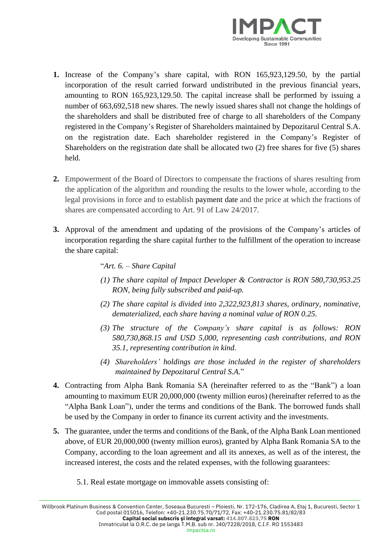

- **1.** Increase of the Company's share capital, with RON 165,923,129.50, by the partial incorporation of the result carried forward undistributed in the previous financial years, amounting to RON 165,923,129.50. The capital increase shall be performed by issuing a number of 663,692,518 new shares. The newly issued shares shall not change the holdings of the shareholders and shall be distributed free of charge to all shareholders of the Company registered in the Company's Register of Shareholders maintained by Depozitarul Central S.A. on the registration date. Each shareholder registered in the Company's Register of Shareholders on the registration date shall be allocated two (2) free shares for five (5) shares held.
- **2.** Empowerment of the Board of Directors to compensate the fractions of shares resulting from the application of the algorithm and rounding the results to the lower whole, according to the legal provisions in force and to establish payment date and the price at which the fractions of shares are compensated according to Art. 91 of Law 24/2017.
- **3.** Approval of the amendment and updating of the provisions of the Company's articles of incorporation regarding the share capital further to the fulfillment of the operation to increase the share capital:

## "*Art. 6. – Share Capital*

- *(1) The share capital of Impact Developer & Contractor is RON 580,730,953.25 RON, being fully subscribed and paid-up.*
- *(2) The share capital is divided into 2,322,923,813 shares, ordinary, nominative, dematerialized, each share having a nominal value of RON 0.25.*
- *(3) The structure of the Company's share capital is as follows: RON 580,730,868.15 and USD 5,000, representing cash contributions, and RON 35.1, representing contribution in kind.*
- *(4) Shareholders' holdings are those included in the register of shareholders maintained by Depozitarul Central S.A.*"
- **4.** Contracting from Alpha Bank Romania SA (hereinafter referred to as the "Bank") a loan amounting to maximum EUR 20,000,000 (twenty million euros) (hereinafter referred to as the "Alpha Bank Loan"), under the terms and conditions of the Bank. The borrowed funds shall be used by the Company in order to finance its current activity and the investments.
- **5.** The guarantee, under the terms and conditions of the Bank, of the Alpha Bank Loan mentioned above, of EUR 20,000,000 (twenty million euros), granted by Alpha Bank Romania SA to the Company, according to the loan agreement and all its annexes, as well as of the interest, the increased interest, the costs and the related expenses, with the following guarantees:
	- 5.1. Real estate mortgage on immovable assets consisting of: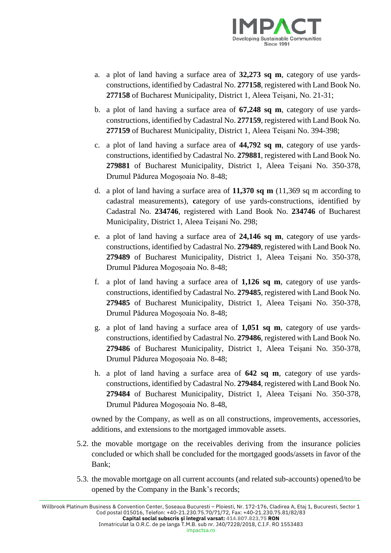

- a. a plot of land having a surface area of **32,273 sq m**, category of use yardsconstructions, identified by Cadastral No. **277158**, registered with Land Book No. **277158** of Bucharest Municipality, District 1, Aleea Teișani, No. 21-31;
- b. a plot of land having a surface area of **67,248 sq m**, category of use yardsconstructions, identified by Cadastral No. **277159**, registered with Land Book No. **277159** of Bucharest Municipality, District 1, Aleea Teișani No. 394-398;
- c. a plot of land having a surface area of **44,792 sq m**, category of use yardsconstructions, identified by Cadastral No. **279881**, registered with Land Book No. **279881** of Bucharest Municipality, District 1, Aleea Teișani No. 350-378, Drumul Pădurea Mogoșoaia No. 8-48;
- d. a plot of land having a surface area of **11,370 sq m** (11,369 sq m according to cadastral measurements), **c**ategory of use yards-constructions, identified by Cadastral No. **234746**, registered with Land Book No. **234746** of Bucharest Municipality, District 1, Aleea Teișani No. 298;
- e. a plot of land having a surface area of **24,146 sq m**, category of use yardsconstructions, identified by Cadastral No. **279489**, registered with Land Book No. **279489** of Bucharest Municipality, District 1, Aleea Teișani No. 350-378, Drumul Pădurea Mogoșoaia No. 8-48;
- f. a plot of land having a surface area of **1,126 sq m**, category of use yardsconstructions, identified by Cadastral No. **279485**, registered with Land Book No. **279485** of Bucharest Municipality, District 1, Aleea Teișani No. 350-378, Drumul Pădurea Mogoșoaia No. 8-48;
- g. a plot of land having a surface area of **1,051 sq m**, category of use yardsconstructions, identified by Cadastral No. **279486**, registered with Land Book No. **279486** of Bucharest Municipality, District 1, Aleea Teișani No. 350-378, Drumul Pădurea Mogoșoaia No. 8-48;
- h. a plot of land having a surface area of **642 sq m**, category of use yardsconstructions, identified by Cadastral No. **279484**, registered with Land Book No. **279484** of Bucharest Municipality, District 1, Aleea Teișani No. 350-378, Drumul Pădurea Mogoșoaia No. 8-48,

owned by the Company, as well as on all constructions, improvements, accessories, additions, and extensions to the mortgaged immovable assets.

- 5.2. the movable mortgage on the receivables deriving from the insurance policies concluded or which shall be concluded for the mortgaged goods/assets in favor of the Bank;
- 5.3. the movable mortgage on all current accounts (and related sub-accounts) opened/to be opened by the Company in the Bank's records;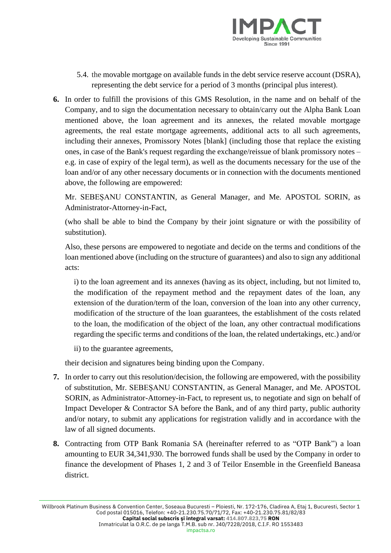

- 5.4. the movable mortgage on available funds in the debt service reserve account (DSRA), representing the debt service for a period of 3 months (principal plus interest).
- **6.** In order to fulfill the provisions of this GMS Resolution, in the name and on behalf of the Company, and to sign the documentation necessary to obtain/carry out the Alpha Bank Loan mentioned above, the loan agreement and its annexes, the related movable mortgage agreements, the real estate mortgage agreements, additional acts to all such agreements, including their annexes, Promissory Notes [blank] (including those that replace the existing ones, in case of the Bank's request regarding the exchange/reissue of blank promissory notes – e.g. in case of expiry of the legal term), as well as the documents necessary for the use of the loan and/or of any other necessary documents or in connection with the documents mentioned above, the following are empowered:

Mr. SEBEȘANU CONSTANTIN, as General Manager, and Me. APOSTOL SORIN, as Administrator-Attorney-in-Fact,

(who shall be able to bind the Company by their joint signature or with the possibility of substitution).

Also, these persons are empowered to negotiate and decide on the terms and conditions of the loan mentioned above (including on the structure of guarantees) and also to sign any additional acts:

i) to the loan agreement and its annexes (having as its object, including, but not limited to, the modification of the repayment method and the repayment dates of the loan, any extension of the duration/term of the loan, conversion of the loan into any other currency, modification of the structure of the loan guarantees, the establishment of the costs related to the loan, the modification of the object of the loan, any other contractual modifications regarding the specific terms and conditions of the loan, the related undertakings, etc.) and/or

ii) to the guarantee agreements,

their decision and signatures being binding upon the Company.

- **7.** In order to carry out this resolution/decision, the following are empowered, with the possibility of substitution, Mr. SEBEȘANU CONSTANTIN, as General Manager, and Me. APOSTOL SORIN, as Administrator-Attorney-in-Fact, to represent us, to negotiate and sign on behalf of Impact Developer & Contractor SA before the Bank, and of any third party, public authority and/or notary, to submit any applications for registration validly and in accordance with the law of all signed documents.
- **8.** Contracting from OTP Bank Romania SA (hereinafter referred to as "OTP Bank") a loan amounting to EUR 34,341,930. The borrowed funds shall be used by the Company in order to finance the development of Phases 1, 2 and 3 of Teilor Ensemble in the Greenfield Baneasa district.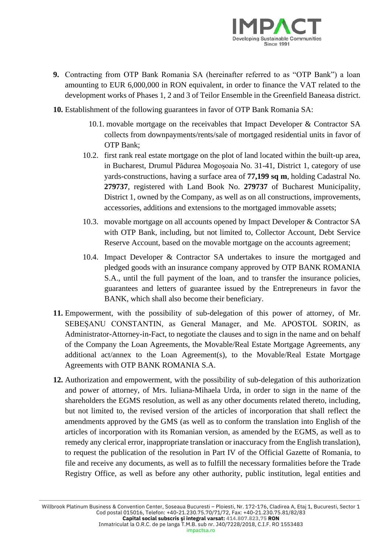

- **9.** Contracting from OTP Bank Romania SA (hereinafter referred to as "OTP Bank") a loan amounting to EUR 6,000,000 in RON equivalent, in order to finance the VAT related to the development works of Phases 1, 2 and 3 of Teilor Ensemble in the Greenfield Baneasa district.
- **10.** Establishment of the following guarantees in favor of OTP Bank Romania SA:
	- 10.1. movable mortgage on the receivables that Impact Developer & Contractor SA collects from downpayments/rents/sale of mortgaged residential units in favor of OTP Bank;
	- 10.2. first rank real estate mortgage on the plot of land located within the built-up area, in Bucharest, Drumul Pădurea Mogoșoaia No. 31-41, District 1, category of use yards-constructions, having a surface area of **77,199 sq m**, holding Cadastral No. **279737**, registered with Land Book No. **279737** of Bucharest Municipality, District 1, owned by the Company, as well as on all constructions, improvements, accessories, additions and extensions to the mortgaged immovable assets;
	- 10.3. movable mortgage on all accounts opened by Impact Developer & Contractor SA with OTP Bank, including, but not limited to, Collector Account, Debt Service Reserve Account, based on the movable mortgage on the accounts agreement;
	- 10.4. Impact Developer & Contractor SA undertakes to insure the mortgaged and pledged goods with an insurance company approved by OTP BANK ROMANIA S.A., until the full payment of the loan, and to transfer the insurance policies, guarantees and letters of guarantee issued by the Entrepreneurs in favor the BANK, which shall also become their beneficiary.
- **11.** Empowerment, with the possibility of sub-delegation of this power of attorney, of Mr. SEBEȘANU CONSTANTIN, as General Manager, and Me. APOSTOL SORIN, as Administrator-Attorney-in-Fact, to negotiate the clauses and to sign in the name and on behalf of the Company the Loan Agreements, the Movable/Real Estate Mortgage Agreements, any additional act/annex to the Loan Agreement(s), to the Movable/Real Estate Mortgage Agreements with OTP BANK ROMANIA S.A.
- **12.** Authorization and empowerment, with the possibility of sub-delegation of this authorization and power of attorney, of Mrs. Iuliana-Mihaela Urda, in order to sign in the name of the shareholders the EGMS resolution, as well as any other documents related thereto, including, but not limited to, the revised version of the articles of incorporation that shall reflect the amendments approved by the GMS (as well as to conform the translation into English of the articles of incorporation with its Romanian version, as amended by the EGMS, as well as to remedy any clerical error, inappropriate translation or inaccuracy from the English translation), to request the publication of the resolution in Part IV of the Official Gazette of Romania, to file and receive any documents, as well as to fulfill the necessary formalities before the Trade Registry Office, as well as before any other authority, public institution, legal entities and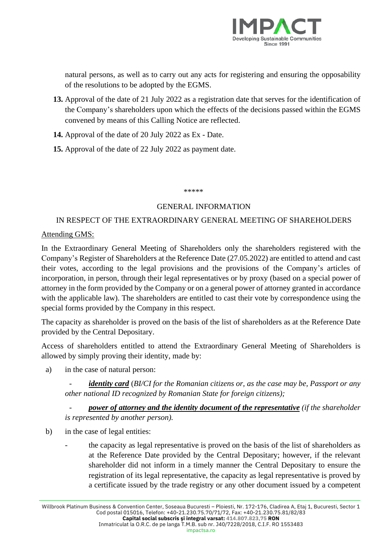

natural persons, as well as to carry out any acts for registering and ensuring the opposability of the resolutions to be adopted by the EGMS.

- **13.** Approval of the date of 21 July 2022 as a registration date that serves for the identification of the Company's shareholders upon which the effects of the decisions passed within the EGMS convened by means of this Calling Notice are reflected.
- **14.** Approval of the date of 20 July 2022 as Ex Date.
- **15.** Approval of the date of 22 July 2022 as payment date.

\*\*\*\*\*

## GENERAL INFORMATION

# IN RESPECT OF THE EXTRAORDINARY GENERAL MEETING OF SHAREHOLDERS

## Attending GMS:

In the Extraordinary General Meeting of Shareholders only the shareholders registered with the Company's Register of Shareholders at the Reference Date (27.05.2022) are entitled to attend and cast their votes, according to the legal provisions and the provisions of the Company's articles of incorporation, in person, through their legal representatives or by proxy (based on a special power of attorney in the form provided by the Company or on a general power of attorney granted in accordance with the applicable law). The shareholders are entitled to cast their vote by correspondence using the special forms provided by the Company in this respect.

The capacity as shareholder is proved on the basis of the list of shareholders as at the Reference Date provided by the Central Depositary.

Access of shareholders entitled to attend the Extraordinary General Meeting of Shareholders is allowed by simply proving their identity, made by:

a) in the case of natural person:

- *identity card* (*BI/CI for the Romanian citizens or, as the case may be, Passport or any other national ID recognized by Romanian State for foreign citizens);*

- *power of attorney and the identity document of the representative (if the shareholder is represented by another person).*

- b) in the case of legal entities:
	- the capacity as legal representative is proved on the basis of the list of shareholders as at the Reference Date provided by the Central Depositary; however, if the relevant shareholder did not inform in a timely manner the Central Depositary to ensure the registration of its legal representative, the capacity as legal representative is proved by a certificate issued by the trade registry or any other document issued by a competent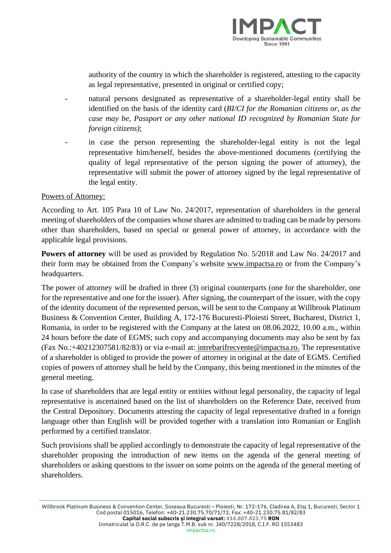

authority of the country in which the shareholder is registered, attesting to the capacity as legal representative, presented in original or certified copy;

- natural persons designated as representative of a shareholder-legal entity shall be identified on the basis of the identity card (*BI/CI for the Romanian citizens or, as the case may be, Passport or any other national ID recognized by Romanian State for foreign citizens)*;
- in case the person representing the shareholder-legal entity is not the legal representative him/herself, besides the above-mentioned documents (certifying the quality of legal representative of the person signing the power of attorney), the representative will submit the power of attorney signed by the legal representative of the legal entity.

### Powers of Attorney:

According to Art. 105 Para 10 of Law No. 24/2017, representation of shareholders in the general meeting of shareholders of the companies whose shares are admitted to trading can be made by persons other than shareholders, based on special or general power of attorney, in accordance with the applicable legal provisions.

**Powers of attorney** will be used as provided by Regulation No. 5/2018 and Law No. 24/2017 and their form may be obtained from the Company's website [www.impactsa.ro](http://www.impactsa.ro/) or from the Company's headquarters.

The power of attorney will be drafted in three (3) original counterparts (one for the shareholder, one for the representative and one for the issuer). After signing, the counterpart of the issuer, with the copy of the identity document of the represented person, will be sent to the Company at Willbrook Platinum Business & Convention Center, Building A, 172-176 Bucuresti-Ploiesti Street, Bucharest, District 1, Romania, in order to be registered with the Company at the latest on 08.06.2022, 10.00 a.m., within 24 hours before the date of EGMS; such copy and accompanying documents may also be sent by fax (Fax No.:+40212307581/82/83) or via e-mail at: [intrebarifrecvente@impactsa.ro.](mailto:intrebarifrecvente@impactsa.ro) The representative of a shareholder is obliged to provide the power of attorney in original at the date of EGMS. Certified copies of powers of attorney shall be held by the Company, this being mentioned in the minutes of the general meeting.

In case of shareholders that are legal entity or entities without legal personality, the capacity of legal representative is ascertained based on the list of shareholders on the Reference Date, received from the Central Depository. Documents attesting the capacity of legal representative drafted in a foreign language other than English will be provided together with a translation into Romanian or English performed by a certified translator.

Such provisions shall be applied accordingly to demonstrate the capacity of legal representative of the shareholder proposing the introduction of new items on the agenda of the general meeting of shareholders or asking questions to the issuer on some points on the agenda of the general meeting of shareholders.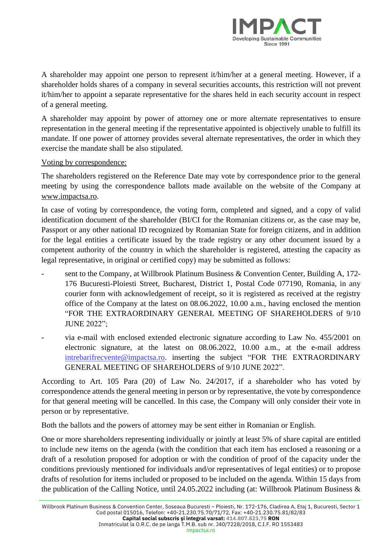

A shareholder may appoint one person to represent it/him/her at a general meeting. However, if a shareholder holds shares of a company in several securities accounts, this restriction will not prevent it/him/her to appoint a separate representative for the shares held in each security account in respect of a general meeting.

A shareholder may appoint by power of attorney one or more alternate representatives to ensure representation in the general meeting if the representative appointed is objectively unable to fulfill its mandate. If one power of attorney provides several alternate representatives, the order in which they exercise the mandate shall be also stipulated.

### Voting by correspondence:

The shareholders registered on the Reference Date may vote by correspondence prior to the general meeting by using the correspondence ballots made available on the website of the Company at [www.impactsa.ro.](http://www.impactsa.ro/)

In case of voting by correspondence, the voting form, completed and signed, and a copy of valid identification document of the shareholder (BI/CI for the Romanian citizens or, as the case may be, Passport or any other national ID recognized by Romanian State for foreign citizens, and in addition for the legal entities a certificate issued by the trade registry or any other document issued by a competent authority of the country in which the shareholder is registered, attesting the capacity as legal representative, in original or certified copy) may be submitted as follows:

- sent to the Company, at Willbrook Platinum Business & Convention Center, Building A, 172-176 Bucuresti-Ploiesti Street, Bucharest, District 1, Postal Code 077190, Romania, in any courier form with acknowledgement of receipt, so it is registered as received at the registry office of the Company at the latest on 08.06.2022, 10.00 a.m., having enclosed the mention "FOR THE EXTRAORDINARY GENERAL MEETING OF SHAREHOLDERS of 9/10 JUNE 2022";
- via e-mail with enclosed extended electronic signature according to Law No. 455/2001 on electronic signature, at the latest on 08.06.2022, 10.00 a.m., at the e-mail address [intrebarifrecvente@impactsa.ro.](mailto:intrebarifrecvente@impactsa.ro) inserting the subject "FOR THE EXTRAORDINARY GENERAL MEETING OF SHAREHOLDERS of 9/10 JUNE 2022".

According to Art. 105 Para (20) of Law No. 24/2017, if a shareholder who has voted by correspondence attends the general meeting in person or by representative, the vote by correspondence for that general meeting will be cancelled. In this case, the Company will only consider their vote in person or by representative.

Both the ballots and the powers of attorney may be sent either in Romanian or English.

One or more shareholders representing individually or jointly at least 5% of share capital are entitled to include new items on the agenda (with the condition that each item has enclosed a reasoning or a draft of a resolution proposed for adoption or with the condition of proof of the capacity under the conditions previously mentioned for individuals and/or representatives of legal entities) or to propose drafts of resolution for items included or proposed to be included on the agenda. Within 15 days from the publication of the Calling Notice, until 24.05.2022 including (at: Willbrook Platinum Business &